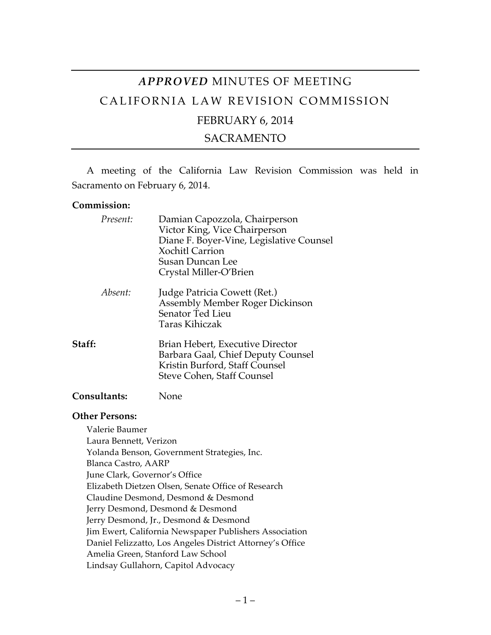# *APPROVED* MINUTES OF MEETING CALIFORNIA LAW REVISION COMMISSION FEBRUARY 6, 2014

### SACRAMENTO

A meeting of the California Law Revision Commission was held in Sacramento on February 6, 2014.

#### **Commission:**

| Present:            | Damian Capozzola, Chairperson<br>Victor King, Vice Chairperson<br>Diane F. Boyer-Vine, Legislative Counsel<br><b>Xochitl Carrion</b><br>Susan Duncan Lee<br>Crystal Miller-O'Brien |
|---------------------|------------------------------------------------------------------------------------------------------------------------------------------------------------------------------------|
| Absent:             | Judge Patricia Cowett (Ret.)<br>Assembly Member Roger Dickinson<br>Senator Ted Lieu<br><b>Taras Kihiczak</b>                                                                       |
| Staff:              | Brian Hebert, Executive Director<br>Barbara Gaal, Chief Deputy Counsel<br>Kristin Burford, Staff Counsel<br>Steve Cohen, Staff Counsel                                             |
| <b>Consultants:</b> | None                                                                                                                                                                               |

#### **Other Persons:**

Valerie Baumer Laura Bennett, Verizon Yolanda Benson, Government Strategies, Inc. Blanca Castro, AARP June Clark, Governor's Office Elizabeth Dietzen Olsen, Senate Office of Research Claudine Desmond, Desmond & Desmond Jerry Desmond, Desmond & Desmond Jerry Desmond, Jr., Desmond & Desmond Jim Ewert, California Newspaper Publishers Association Daniel Felizzatto, Los Angeles District Attorney's Office Amelia Green, Stanford Law School Lindsay Gullahorn, Capitol Advocacy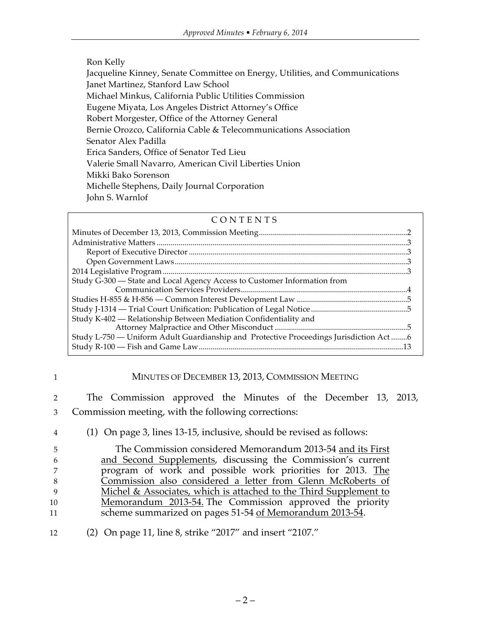#### Ron Kelly

Jacqueline Kinney, Senate Committee on Energy, Utilities, and Communications Janet Martinez, Stanford Law School Michael Minkus, California Public Utilities Commission Eugene Miyata, Los Angeles District Attorney's Office Robert Morgester, Office of the Attorney General Bernie Orozco, California Cable & Telecommunications Association Senator Alex Padilla Erica Sanders, Office of Senator Ted Lieu Valerie Small Navarro, American Civil Liberties Union Mikki Bako Sorenson Michelle Stephens, Daily Journal Corporation John S. Warnlof

#### CONTENTS

| Study G-300 — State and Local Agency Access to Customer Information from              |  |
|---------------------------------------------------------------------------------------|--|
|                                                                                       |  |
|                                                                                       |  |
|                                                                                       |  |
| Study K-402 — Relationship Between Mediation Confidentiality and                      |  |
|                                                                                       |  |
| Study L-750 - Uniform Adult Guardianship and Protective Proceedings Jurisdiction Act6 |  |
|                                                                                       |  |

#### 1 MINUTES OF DECEMBER 13, 2013, COMMISSION MEETING

2 The Commission approved the Minutes of the December 13, 2013, 3 Commission meeting, with the following corrections:

4 (1) On page 3, lines 13-15, inclusive, should be revised as follows:

 The Commission considered Memorandum 2013-54 and its First and Second Supplements, discussing the Commission's current program of work and possible work priorities for 2013. The Commission also considered a letter from Glenn McRoberts of Michel & Associates, which is attached to the Third Supplement to Memorandum 2013-54. The Commission approved the priority 11 scheme summarized on pages 51-54 of Memorandum 2013-54.

12 (2) On page 11, line 8, strike "2017" and insert "2107."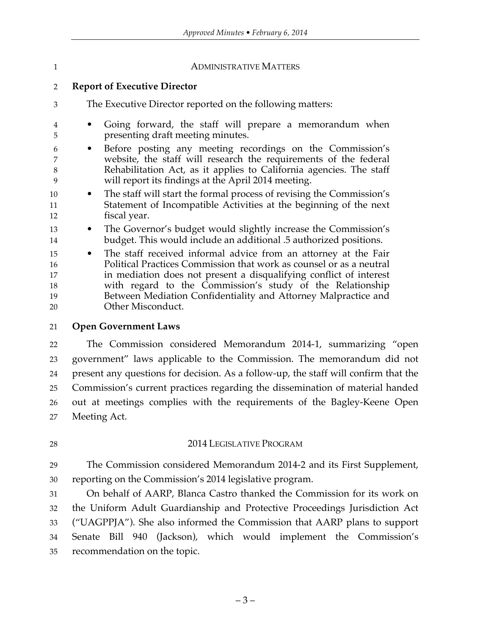#### 1 ADMINISTRATIVE MATTERS

#### **Report of Executive Director**

- The Executive Director reported on the following matters:
- Going forward, the staff will prepare a memorandum when presenting draft meeting minutes.
- Before posting any meeting recordings on the Commission's website, the staff will research the requirements of the federal Rehabilitation Act, as it applies to California agencies. The staff will report its findings at the April 2014 meeting.
- The staff will start the formal process of revising the Commission's Statement of Incompatible Activities at the beginning of the next fiscal year.
- The Governor's budget would slightly increase the Commission's budget. This would include an additional .5 authorized positions.
- The staff received informal advice from an attorney at the Fair Political Practices Commission that work as counsel or as a neutral in mediation does not present a disqualifying conflict of interest with regard to the Commission's study of the Relationship Between Mediation Confidentiality and Attorney Malpractice and Other Misconduct.

#### **Open Government Laws**

 The Commission considered Memorandum 2014-1, summarizing "open government" laws applicable to the Commission. The memorandum did not present any questions for decision. As a follow-up, the staff will confirm that the Commission's current practices regarding the dissemination of material handed out at meetings complies with the requirements of the Bagley-Keene Open Meeting Act.

### 28 2014 LEGISLATIVE PROGRAM

 The Commission considered Memorandum 2014-2 and its First Supplement, reporting on the Commission's 2014 legislative program.

 On behalf of AARP, Blanca Castro thanked the Commission for its work on the Uniform Adult Guardianship and Protective Proceedings Jurisdiction Act ("UAGPPJA"). She also informed the Commission that AARP plans to support Senate Bill 940 (Jackson), which would implement the Commission's recommendation on the topic.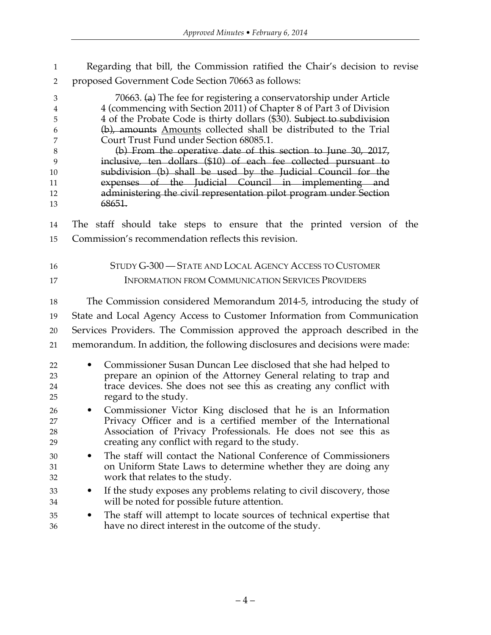Regarding that bill, the Commission ratified the Chair's decision to revise proposed Government Code Section 70663 as follows:

| $\mathfrak{Z}$<br>$\overline{4}$<br>5<br>6<br>7<br>$\,8\,$<br>9<br>10<br>11<br>12<br>13 | 70663. (a) The fee for registering a conservatorship under Article<br>4 (commencing with Section 2011) of Chapter 8 of Part 3 of Division<br>4 of the Probate Code is thirty dollars (\$30). Subject to subdivision<br>(b), amounts Amounts collected shall be distributed to the Trial<br>Court Trust Fund under Section 68085.1.<br>(b) From the operative date of this section to June 30, 2017,<br>inclusive, ten dollars (\$10) of each fee collected pursuant to<br>subdivision (b) shall be used by the Judicial Council for the<br>expenses of the Judicial Council in implementing and<br>administering the civil representation pilot program under Section<br>68651. |
|-----------------------------------------------------------------------------------------|---------------------------------------------------------------------------------------------------------------------------------------------------------------------------------------------------------------------------------------------------------------------------------------------------------------------------------------------------------------------------------------------------------------------------------------------------------------------------------------------------------------------------------------------------------------------------------------------------------------------------------------------------------------------------------|
| 14                                                                                      | The staff should take steps to ensure that the printed version of the                                                                                                                                                                                                                                                                                                                                                                                                                                                                                                                                                                                                           |
| 15                                                                                      | Commission's recommendation reflects this revision.                                                                                                                                                                                                                                                                                                                                                                                                                                                                                                                                                                                                                             |
| 16<br>17                                                                                | STUDY G-300 - STATE AND LOCAL AGENCY ACCESS TO CUSTOMER<br><b>INFORMATION FROM COMMUNICATION SERVICES PROVIDERS</b>                                                                                                                                                                                                                                                                                                                                                                                                                                                                                                                                                             |
| 18                                                                                      | The Commission considered Memorandum 2014-5, introducing the study of                                                                                                                                                                                                                                                                                                                                                                                                                                                                                                                                                                                                           |
| 19                                                                                      | State and Local Agency Access to Customer Information from Communication                                                                                                                                                                                                                                                                                                                                                                                                                                                                                                                                                                                                        |
| 20                                                                                      | Services Providers. The Commission approved the approach described in the                                                                                                                                                                                                                                                                                                                                                                                                                                                                                                                                                                                                       |
| 21                                                                                      | memorandum. In addition, the following disclosures and decisions were made:                                                                                                                                                                                                                                                                                                                                                                                                                                                                                                                                                                                                     |
| 22<br>23<br>24<br>25                                                                    | Commissioner Susan Duncan Lee disclosed that she had helped to<br>prepare an opinion of the Attorney General relating to trap and<br>trace devices. She does not see this as creating any conflict with<br>regard to the study.                                                                                                                                                                                                                                                                                                                                                                                                                                                 |
| 26<br>27<br>28<br>29                                                                    | Commissioner Victor King disclosed that he is an Information<br>$\bullet$<br>Privacy Officer and is a certified member of the International<br>Association of Privacy Professionals. He does not see this as<br>creating any conflict with regard to the study.                                                                                                                                                                                                                                                                                                                                                                                                                 |
| 30<br>31<br>32                                                                          | The staff will contact the National Conference of Commissioners<br>on Uniform State Laws to determine whether they are doing any<br>work that relates to the study.                                                                                                                                                                                                                                                                                                                                                                                                                                                                                                             |
| 33<br>34                                                                                | If the study exposes any problems relating to civil discovery, those<br>will be noted for possible future attention.                                                                                                                                                                                                                                                                                                                                                                                                                                                                                                                                                            |
| 35<br>36                                                                                | The staff will attempt to locate sources of technical expertise that<br>have no direct interest in the outcome of the study.                                                                                                                                                                                                                                                                                                                                                                                                                                                                                                                                                    |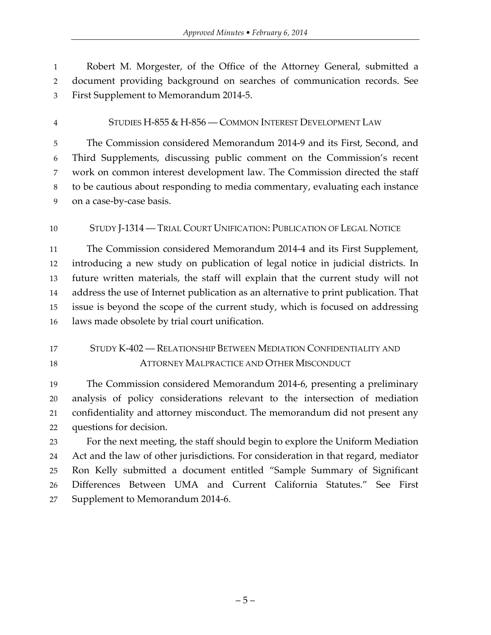Robert M. Morgester, of the Office of the Attorney General, submitted a document providing background on searches of communication records. See First Supplement to Memorandum 2014-5.

STUDIES H-855 & H-856 — COMMON INTEREST DEVELOPMENT LAW

 The Commission considered Memorandum 2014-9 and its First, Second, and Third Supplements, discussing public comment on the Commission's recent work on common interest development law. The Commission directed the staff to be cautious about responding to media commentary, evaluating each instance on a case-by-case basis.

### STUDY J-1314 — TRIAL COURT UNIFICATION: PUBLICATION OF LEGAL NOTICE

 The Commission considered Memorandum 2014-4 and its First Supplement, introducing a new study on publication of legal notice in judicial districts. In future written materials, the staff will explain that the current study will not address the use of Internet publication as an alternative to print publication. That issue is beyond the scope of the current study, which is focused on addressing laws made obsolete by trial court unification.

## STUDY K-402 — RELATIONSHIP BETWEEN MEDIATION CONFIDENTIALITY AND ATTORNEY MALPRACTICE AND OTHER MISCONDUCT

 The Commission considered Memorandum 2014-6, presenting a preliminary analysis of policy considerations relevant to the intersection of mediation confidentiality and attorney misconduct. The memorandum did not present any questions for decision.

 For the next meeting, the staff should begin to explore the Uniform Mediation Act and the law of other jurisdictions. For consideration in that regard, mediator Ron Kelly submitted a document entitled "Sample Summary of Significant Differences Between UMA and Current California Statutes." See First Supplement to Memorandum 2014-6.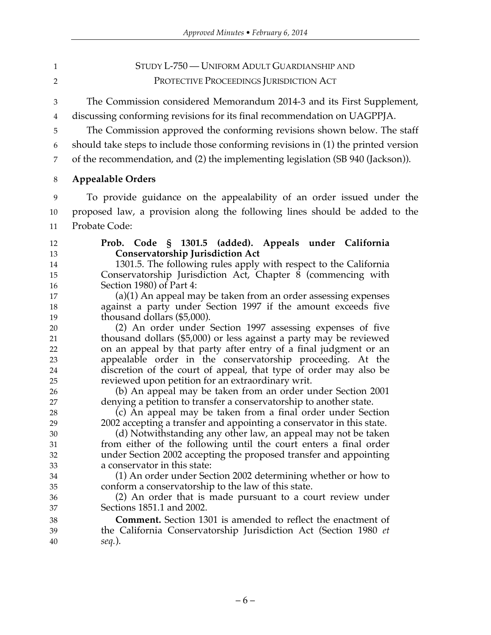# STUDY L-750 — UNIFORM ADULT GUARDIANSHIP AND PROTECTIVE PROCEEDINGS JURISDICTION ACT

 The Commission considered Memorandum 2014-3 and its First Supplement, discussing conforming revisions for its final recommendation on UAGPPJA.

The Commission approved the conforming revisions shown below. The staff

should take steps to include those conforming revisions in (1) the printed version

of the recommendation, and (2) the implementing legislation (SB 940 (Jackson)).

**Appealable Orders**

 To provide guidance on the appealability of an order issued under the proposed law, a provision along the following lines should be added to the Probate Code:

#### **Prob. Code § 1301.5 (added). Appeals under California Conservatorship Jurisdiction Act**

 1301.5. The following rules apply with respect to the California Conservatorship Jurisdiction Act, Chapter 8 (commencing with Section 1980) of Part 4:

 (a)(1) An appeal may be taken from an order assessing expenses against a party under Section 1997 if the amount exceeds five thousand dollars (\$5,000).

 (2) An order under Section 1997 assessing expenses of five thousand dollars (\$5,000) or less against a party may be reviewed on an appeal by that party after entry of a final judgment or an appealable order in the conservatorship proceeding. At the discretion of the court of appeal, that type of order may also be reviewed upon petition for an extraordinary writ.

 (b) An appeal may be taken from an order under Section 2001 denying a petition to transfer a conservatorship to another state.

 (c) An appeal may be taken from a final order under Section 2002 accepting a transfer and appointing a conservator in this state.

 (d) Notwithstanding any other law, an appeal may not be taken from either of the following until the court enters a final order under Section 2002 accepting the proposed transfer and appointing a conservator in this state:

 (1) An order under Section 2002 determining whether or how to conform a conservatorship to the law of this state.

 (2) An order that is made pursuant to a court review under Sections 1851.1 and 2002.

 **Comment.** Section 1301 is amended to reflect the enactment of the California Conservatorship Jurisdiction Act (Section 1980 *et seq.*).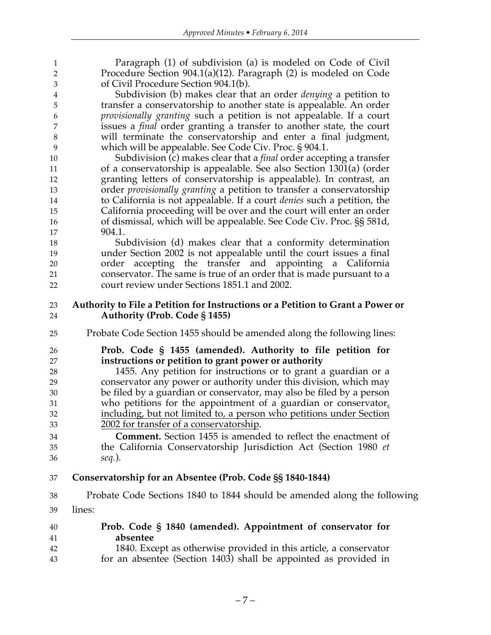| $\mathbf{1}$                | Paragraph (1) of subdivision (a) is modeled on Code of Civil                    |
|-----------------------------|---------------------------------------------------------------------------------|
| $\overline{2}$              | Procedure Section 904.1(a)(12). Paragraph (2) is modeled on Code                |
| $\ensuremath{\mathfrak{Z}}$ | of Civil Procedure Section 904.1(b).                                            |
| $\overline{\mathbf{4}}$     | Subdivision (b) makes clear that an order <i>denying</i> a petition to          |
| 5                           | transfer a conservatorship to another state is appealable. An order             |
| 6                           | provisionally granting such a petition is not appealable. If a court            |
| 7                           | issues a <i>final</i> order granting a transfer to another state, the court     |
| $\,8\,$                     | will terminate the conservatorship and enter a final judgment,                  |
| 9                           | which will be appealable. See Code Civ. Proc. § 904.1.                          |
|                             |                                                                                 |
| 10                          | Subdivision (c) makes clear that a <i>final</i> order accepting a transfer      |
| 11                          | of a conservatorship is appealable. See also Section 1301(a) (order             |
| 12                          | granting letters of conservatorship is appealable). In contrast, an             |
| 13                          | order <i>provisionally granting</i> a petition to transfer a conservatorship    |
| 14                          | to California is not appealable. If a court <i>denies</i> such a petition, the  |
| 15                          | California proceeding will be over and the court will enter an order            |
| 16                          | of dismissal, which will be appealable. See Code Civ. Proc. §§ 581d,            |
| 17                          | 904.1.                                                                          |
| 18                          | Subdivision (d) makes clear that a conformity determination                     |
| 19                          | under Section 2002 is not appealable until the court issues a final             |
| 20                          | accepting the transfer and appointing a California<br>order                     |
| 21                          | conservator. The same is true of an order that is made pursuant to a            |
| 22                          | court review under Sections 1851.1 and 2002.                                    |
|                             |                                                                                 |
| 23                          | Authority to File a Petition for Instructions or a Petition to Grant a Power or |
| 24                          | <b>Authority (Prob. Code § 1455)</b>                                            |
| 25                          | Probate Code Section 1455 should be amended along the following lines:          |
| 26                          | Prob. Code § 1455 (amended). Authority to file petition for                     |
| 27                          | instructions or petition to grant power or authority                            |
| 28                          | 1455. Any petition for instructions or to grant a guardian or a                 |
| 29                          | conservator any power or authority under this division, which may               |
| 30                          | be filed by a guardian or conservator, may also be filed by a person            |
| 31                          | who petitions for the appointment of a guardian or conservator $L$              |
| 32                          | including, but not limited to, a person who petitions under Section             |
| 33                          | 2002 for transfer of a conservatorship.                                         |
|                             | Comment. Section 1455 is amended to reflect the enactment of                    |
| 34                          |                                                                                 |
| 35                          | the California Conservatorship Jurisdiction Act (Section 1980 et                |
| 36                          | $seq.$ ).                                                                       |
| 37                          | Conservatorship for an Absentee (Prob. Code §§ 1840-1844)                       |
| 38                          | Probate Code Sections 1840 to 1844 should be amended along the following        |
| 39                          | lines:                                                                          |
| 40                          | Prob. Code § 1840 (amended). Appointment of conservator for                     |
| 41                          | absentee                                                                        |
| 42                          | 1840. Except as otherwise provided in this article, a conservator               |
|                             |                                                                                 |

for an absentee (Section 1403) shall be appointed as provided in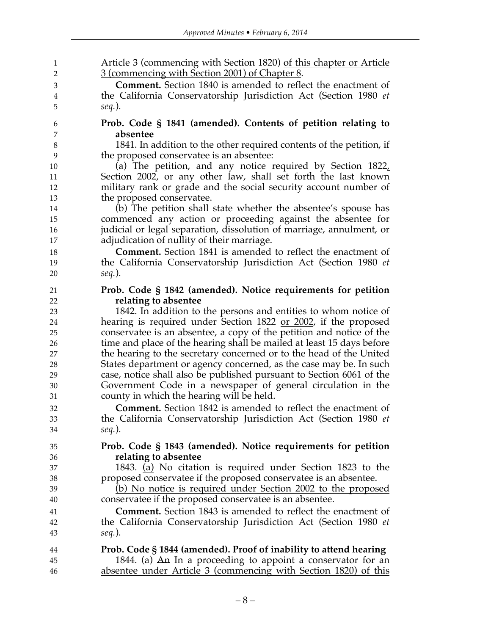| 1<br>$\overline{2}$ | Article 3 (commencing with Section 1820) of this chapter or Article<br>3 (commencing with Section 2001) of Chapter 8. |
|---------------------|-----------------------------------------------------------------------------------------------------------------------|
|                     |                                                                                                                       |
| 3                   | <b>Comment.</b> Section 1840 is amended to reflect the enactment of                                                   |
| 4                   | the California Conservatorship Jurisdiction Act (Section 1980 et                                                      |
| 5                   | $seq.$ ).                                                                                                             |
| 6                   | Prob. Code § 1841 (amended). Contents of petition relating to                                                         |
| 7                   | absentee                                                                                                              |
| $\,8\,$             | 1841. In addition to the other required contents of the petition, if                                                  |
| 9                   | the proposed conservatee is an absentee:                                                                              |
| 10                  | (a) The petition, and any notice required by Section $1822L$                                                          |
| 11                  | Section 2002, or any other law, shall set forth the last known                                                        |
| 12                  | military rank or grade and the social security account number of                                                      |
| 13                  | the proposed conservatee.                                                                                             |
| 14                  | (b) The petition shall state whether the absentee's spouse has                                                        |
| 15                  | commenced any action or proceeding against the absentee for                                                           |
| 16                  | judicial or legal separation, dissolution of marriage, annulment, or                                                  |
| 17                  | adjudication of nullity of their marriage.                                                                            |
| 18                  | <b>Comment.</b> Section 1841 is amended to reflect the enactment of                                                   |
| 19                  | the California Conservatorship Jurisdiction Act (Section 1980 et                                                      |
| 20                  | $seq.$ ).                                                                                                             |
| 21                  | Prob. Code § 1842 (amended). Notice requirements for petition                                                         |
| 22                  | relating to absentee                                                                                                  |
| 23                  | 1842. In addition to the persons and entities to whom notice of                                                       |
| 24                  | hearing is required under Section 1822 or 2002, if the proposed                                                       |
| 25                  | conservatee is an absentee, a copy of the petition and notice of the                                                  |
| 26                  | time and place of the hearing shall be mailed at least 15 days before                                                 |
| 27                  | the hearing to the secretary concerned or to the head of the United                                                   |
| 28                  | States department or agency concerned, as the case may be. In such                                                    |
| 29                  | case, notice shall also be published pursuant to Section 6061 of the                                                  |
| 30                  | Government Code in a newspaper of general circulation in the                                                          |
| 31                  | county in which the hearing will be held.                                                                             |
| 32                  | <b>Comment.</b> Section 1842 is amended to reflect the enactment of                                                   |
| 33                  | the California Conservatorship Jurisdiction Act (Section 1980 et                                                      |
| 34                  | $seq.$ ).                                                                                                             |
| 35                  | Prob. Code § 1843 (amended). Notice requirements for petition                                                         |
|                     | relating to absentee                                                                                                  |
| 36                  | 1843. (a) No citation is required under Section 1823 to the                                                           |
| 37                  |                                                                                                                       |
| 38                  | proposed conservatee if the proposed conservatee is an absentee.                                                      |
| 39                  | (b) No notice is required under Section 2002 to the proposed                                                          |
| 40                  | conservatee if the proposed conservatee is an absentee.                                                               |
| 41                  | <b>Comment.</b> Section 1843 is amended to reflect the enactment of                                                   |
| 42                  | the California Conservatorship Jurisdiction Act (Section 1980 et                                                      |
| 43                  | $seq.$ ).                                                                                                             |
| 44                  | Prob. Code § 1844 (amended). Proof of inability to attend hearing                                                     |
| 45                  | 1844. (a) An In a proceeding to appoint a conservator for an                                                          |
| 46                  | absentee under Article 3 (commencing with Section 1820) of this                                                       |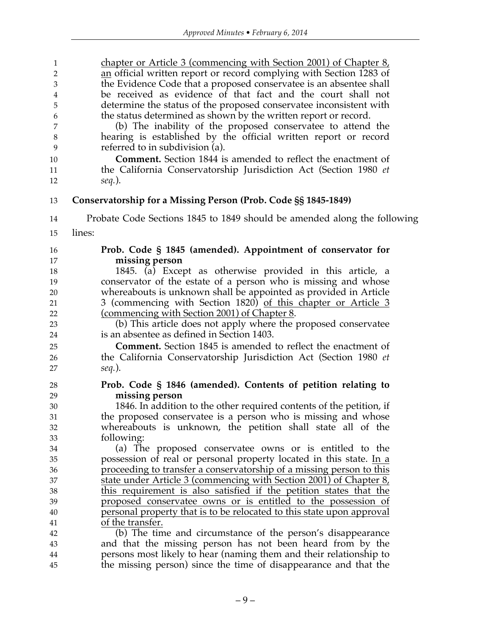| $\mathbf{1}$   | chapter or Article 3 (commencing with Section 2001) of Chapter 8,        |
|----------------|--------------------------------------------------------------------------|
| $\overline{2}$ | an official written report or record complying with Section 1283 of      |
| 3              | the Evidence Code that a proposed conservatee is an absentee shall       |
| 4              | be received as evidence of that fact and the court shall not             |
| 5              | determine the status of the proposed conservatee inconsistent with       |
| 6              | the status determined as shown by the written report or record.          |
| 7              | (b) The inability of the proposed conservatee to attend the              |
| $\,8\,$        | hearing is established by the official written report or record          |
| 9              | referred to in subdivision (a).                                          |
| 10             | <b>Comment.</b> Section 1844 is amended to reflect the enactment of      |
| 11             | the California Conservatorship Jurisdiction Act (Section 1980 et         |
| 12             | seq.).                                                                   |
| 13             | Conservatorship for a Missing Person (Prob. Code §§ 1845-1849)           |
| 14             | Probate Code Sections 1845 to 1849 should be amended along the following |
| 15             | lines:                                                                   |
| 16             | Prob. Code § 1845 (amended). Appointment of conservator for              |
| 17             | missing person                                                           |
| 18             | 1845. (a) Except as otherwise provided in this article, a                |
| 19             | conservator of the estate of a person who is missing and whose           |
| 20             | whereabouts is unknown shall be appointed as provided in Article         |
| 21             | 3 (commencing with Section 1820) of this chapter or Article 3            |
| 22             | (commencing with Section 2001) of Chapter 8.                             |
| 23             | (b) This article does not apply where the proposed conservatee           |
| 24             | is an absentee as defined in Section 1403.                               |
| 25             | <b>Comment.</b> Section 1845 is amended to reflect the enactment of      |
| 26             | the California Conservatorship Jurisdiction Act (Section 1980 et         |
| 27             | seq.).                                                                   |
| 28             | Prob. Code § 1846 (amended). Contents of petition relating to            |
| 29             | missing person                                                           |
| 30             | 1846. In addition to the other required contents of the petition, if     |
| 31             | the proposed conservatee is a person who is missing and whose            |
| 32             | whereabouts is unknown, the petition shall state all of the              |
| 33             | following:                                                               |
| 34             | (a) The proposed conservatee owns or is entitled to the                  |
| 35             | possession of real or personal property located in this state. In a      |
| 36             | proceeding to transfer a conservatorship of a missing person to this     |
| 37             | state under Article 3 (commencing with Section 2001) of Chapter 8,       |
| 38             | this requirement is also satisfied if the petition states that the       |
| 39             | proposed conservatee owns or is entitled to the possession of            |
| 40             | personal property that is to be relocated to this state upon approval    |
| 41             | of the transfer.                                                         |
| 42             | (b) The time and circumstance of the person's disappearance              |
| 43             | and that the missing person has not been heard from by the               |
| 44             | persons most likely to hear (naming them and their relationship to       |
| 45             | the missing person) since the time of disappearance and that the         |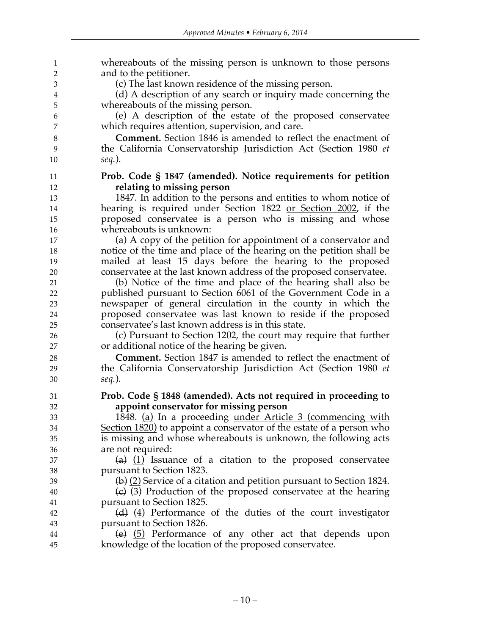| $\mathbf{1}$   | whereabouts of the missing person is unknown to those persons          |
|----------------|------------------------------------------------------------------------|
| 2              | and to the petitioner.                                                 |
| 3              | (c) The last known residence of the missing person.                    |
| $\overline{4}$ | (d) A description of any search or inquiry made concerning the         |
| 5              | whereabouts of the missing person.                                     |
| 6              | (e) A description of the estate of the proposed conservatee            |
| 7              | which requires attention, supervision, and care.                       |
| $\,8\,$        | <b>Comment.</b> Section 1846 is amended to reflect the enactment of    |
| 9              | the California Conservatorship Jurisdiction Act (Section 1980 et       |
| 10             | $seq.$ ).                                                              |
| 11             | Prob. Code § 1847 (amended). Notice requirements for petition          |
| 12             | relating to missing person                                             |
| 13             | 1847. In addition to the persons and entities to whom notice of        |
| 14             | hearing is required under Section 1822 or Section 2002, if the         |
| 15             | proposed conservatee is a person who is missing and whose              |
| 16             | whereabouts is unknown:                                                |
| 17             | (a) A copy of the petition for appointment of a conservator and        |
| 18             | notice of the time and place of the hearing on the petition shall be   |
| 19             | mailed at least 15 days before the hearing to the proposed             |
| 20             | conservatee at the last known address of the proposed conservatee.     |
| 21             | (b) Notice of the time and place of the hearing shall also be          |
| 22             | published pursuant to Section 6061 of the Government Code in a         |
| 23             | newspaper of general circulation in the county in which the            |
| 24             | proposed conservatee was last known to reside if the proposed          |
| 25             | conservatee's last known address is in this state.                     |
| 26             | (c) Pursuant to Section 1202, the court may require that further       |
| 27             | or additional notice of the hearing be given.                          |
| 28             | <b>Comment.</b> Section 1847 is amended to reflect the enactment of    |
| 29             | the California Conservatorship Jurisdiction Act (Section 1980 et       |
| 30             | $seq.$ ).                                                              |
| 31             | Prob. Code § 1848 (amended). Acts not required in proceeding to        |
| 32             | appoint conservator for missing person                                 |
| 33             | 1848. (a) In a proceeding under Article 3 (commencing with             |
| 34             | Section 1820) to appoint a conservator of the estate of a person who   |
| 35             | is missing and whose whereabouts is unknown, the following acts        |
| 36             | are not required:                                                      |
| 37             | (a) $(1)$ Issuance of a citation to the proposed conservatee           |
| 38             | pursuant to Section 1823.                                              |
| 39             | $(b)$ (2) Service of a citation and petition pursuant to Section 1824. |
| 40             | (c) $(3)$ Production of the proposed conservatee at the hearing        |
| 41             | pursuant to Section 1825.                                              |
| 42             | (d) $(4)$ Performance of the duties of the court investigator          |
| 43             | pursuant to Section 1826.                                              |
| 44             | (e) $(5)$ Performance of any other act that depends upon               |
| 45             | knowledge of the location of the proposed conservatee.                 |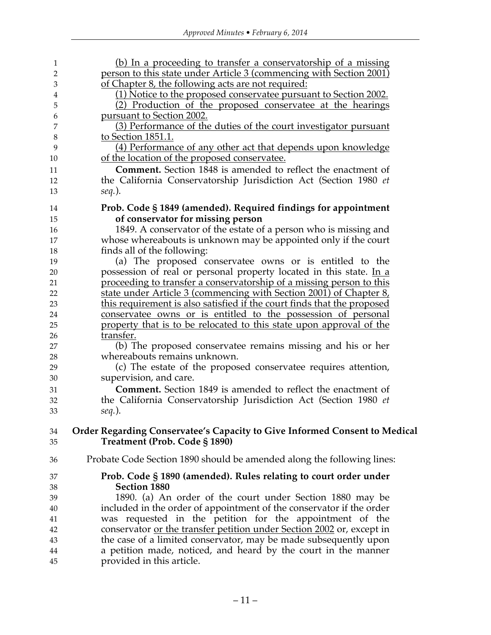| 1        | (b) In a proceeding to transfer a conservatorship of a missing                                              |
|----------|-------------------------------------------------------------------------------------------------------------|
| 2        | person to this state under Article 3 (commencing with Section 2001)                                         |
| 3        | of Chapter 8, the following acts are not required:                                                          |
| 4        | (1) Notice to the proposed conservatee pursuant to Section 2002.                                            |
| 5        | (2) Production of the proposed conservatee at the hearings                                                  |
| 6        | pursuant to Section 2002.                                                                                   |
| 7        | (3) Performance of the duties of the court investigator pursuant                                            |
| 8        | to Section 1851.1.                                                                                          |
| 9        | (4) Performance of any other act that depends upon knowledge                                                |
| 10       | of the location of the proposed conservatee.                                                                |
| 11       | <b>Comment.</b> Section 1848 is amended to reflect the enactment of                                         |
| 12       | the California Conservatorship Jurisdiction Act (Section 1980 et                                            |
| 13       | $seq.$ ).                                                                                                   |
|          |                                                                                                             |
| 14       | Prob. Code § 1849 (amended). Required findings for appointment                                              |
| 15       | of conservator for missing person                                                                           |
| 16       | 1849. A conservator of the estate of a person who is missing and                                            |
| 17       | whose whereabouts is unknown may be appointed only if the court                                             |
| 18       | finds all of the following:                                                                                 |
| 19       | (a) The proposed conservatee owns or is entitled to the                                                     |
| 20       | possession of real or personal property located in this state. In a                                         |
| 21       | proceeding to transfer a conservatorship of a missing person to this                                        |
| 22       | state under Article 3 (commencing with Section 2001) of Chapter 8,                                          |
| 23       | this requirement is also satisfied if the court finds that the proposed                                     |
| 24       | conservatee owns or is entitled to the possession of personal                                               |
| 25       | property that is to be relocated to this state upon approval of the                                         |
| 26       | transfer.                                                                                                   |
| 27       | (b) The proposed conservatee remains missing and his or her                                                 |
| 28       | whereabouts remains unknown.                                                                                |
| 29       | (c) The estate of the proposed conservatee requires attention,                                              |
| 30       | supervision, and care.                                                                                      |
| 31       | <b>Comment.</b> Section 1849 is amended to reflect the enactment of                                         |
| 32       | the California Conservatorship Jurisdiction Act (Section 1980 et                                            |
| 33       | $seq.$ ).                                                                                                   |
|          |                                                                                                             |
| 34<br>35 | Order Regarding Conservatee's Capacity to Give Informed Consent to Medical<br>Treatment (Prob. Code § 1890) |
|          |                                                                                                             |
| 36       | Probate Code Section 1890 should be amended along the following lines:                                      |
| 37       | Prob. Code § 1890 (amended). Rules relating to court order under                                            |
| 38       | <b>Section 1880</b>                                                                                         |
| 39       | 1890. (a) An order of the court under Section 1880 may be                                                   |
| 40       | included in the order of appointment of the conservator if the order                                        |
| 41       | was requested in the petition for the appointment of the                                                    |
| 42       | conservator or the transfer petition under Section 2002 or, except in                                       |
| 43       | the case of a limited conservator, may be made subsequently upon                                            |
| 44       | a petition made, noticed, and heard by the court in the manner                                              |
| 45       | provided in this article.                                                                                   |
|          |                                                                                                             |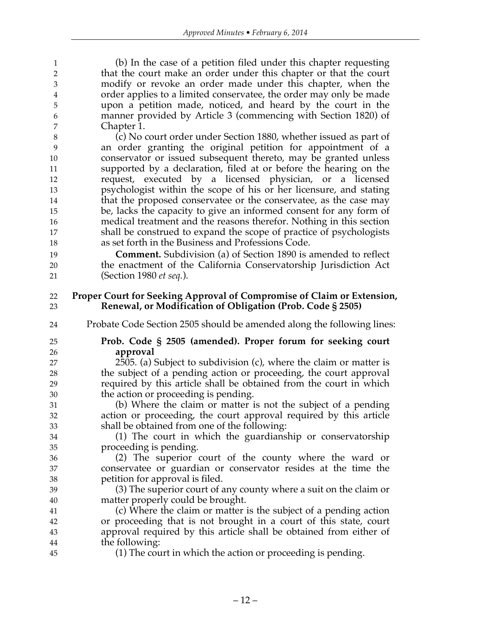(b) In the case of a petition filed under this chapter requesting that the court make an order under this chapter or that the court modify or revoke an order made under this chapter, when the order applies to a limited conservatee, the order may only be made upon a petition made, noticed, and heard by the court in the manner provided by Article 3 (commencing with Section 1820) of Chapter 1.

 (c) No court order under Section 1880, whether issued as part of an order granting the original petition for appointment of a conservator or issued subsequent thereto, may be granted unless supported by a declaration, filed at or before the hearing on the request, executed by a licensed physician, or a licensed psychologist within the scope of his or her licensure, and stating that the proposed conservatee or the conservatee, as the case may be, lacks the capacity to give an informed consent for any form of medical treatment and the reasons therefor. Nothing in this section shall be construed to expand the scope of practice of psychologists as set forth in the Business and Professions Code.

 **Comment.** Subdivision (a) of Section 1890 is amended to reflect the enactment of the California Conservatorship Jurisdiction Act (Section 1980 *et seq.*).

#### **Proper Court for Seeking Approval of Compromise of Claim or Extension, Renewal, or Modification of Obligation (Prob. Code § 2505)**

- Probate Code Section 2505 should be amended along the following lines:
- 

#### **Prob. Code § 2505 (amended). Proper forum for seeking court approval**

 2505. (a) Subject to subdivision (c), where the claim or matter is the subject of a pending action or proceeding, the court approval required by this article shall be obtained from the court in which the action or proceeding is pending.

 (b) Where the claim or matter is not the subject of a pending action or proceeding, the court approval required by this article shall be obtained from one of the following:

 (1) The court in which the guardianship or conservatorship proceeding is pending.

 (2) The superior court of the county where the ward or conservatee or guardian or conservator resides at the time the petition for approval is filed.

 (3) The superior court of any county where a suit on the claim or matter properly could be brought.

 (c) Where the claim or matter is the subject of a pending action or proceeding that is not brought in a court of this state, court approval required by this article shall be obtained from either of the following:

(1) The court in which the action or proceeding is pending.